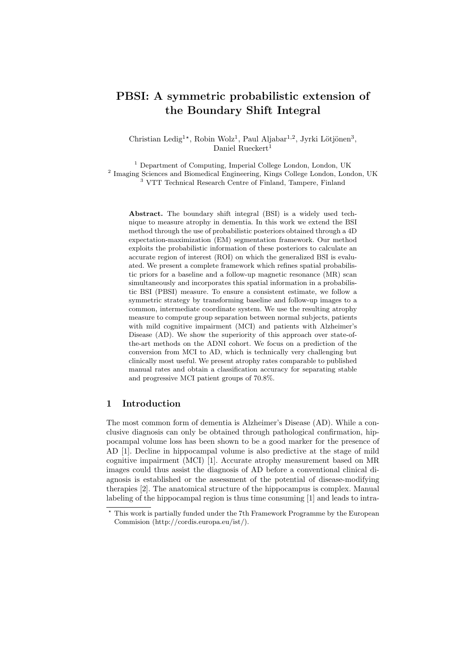# PBSI: A symmetric probabilistic extension of the Boundary Shift Integral

Christian Ledig<sup>1\*</sup>, Robin Wolz<sup>1</sup>, Paul Aljabar<sup>1,2</sup>, Jyrki Lötjönen<sup>3</sup>, Daniel Rueckert<sup>1</sup>

<sup>1</sup> Department of Computing, Imperial College London, London, UK <sup>2</sup> Imaging Sciences and Biomedical Engineering, Kings College London, London, UK <sup>3</sup> VTT Technical Research Centre of Finland, Tampere, Finland

Abstract. The boundary shift integral (BSI) is a widely used technique to measure atrophy in dementia. In this work we extend the BSI method through the use of probabilistic posteriors obtained through a 4D expectation-maximization (EM) segmentation framework. Our method exploits the probabilistic information of these posteriors to calculate an accurate region of interest (ROI) on which the generalized BSI is evaluated. We present a complete framework which refines spatial probabilistic priors for a baseline and a follow-up magnetic resonance (MR) scan simultaneously and incorporates this spatial information in a probabilistic BSI (PBSI) measure. To ensure a consistent estimate, we follow a symmetric strategy by transforming baseline and follow-up images to a common, intermediate coordinate system. We use the resulting atrophy measure to compute group separation between normal subjects, patients with mild cognitive impairment (MCI) and patients with Alzheimer's Disease (AD). We show the superiority of this approach over state-ofthe-art methods on the ADNI cohort. We focus on a prediction of the conversion from MCI to AD, which is technically very challenging but clinically most useful. We present atrophy rates comparable to published manual rates and obtain a classification accuracy for separating stable and progressive MCI patient groups of 70.8%.

## 1 Introduction

The most common form of dementia is Alzheimer's Disease (AD). While a conclusive diagnosis can only be obtained through pathological confirmation, hippocampal volume loss has been shown to be a good marker for the presence of AD [1]. Decline in hippocampal volume is also predictive at the stage of mild cognitive impairment (MCI) [1]. Accurate atrophy measurement based on MR images could thus assist the diagnosis of AD before a conventional clinical diagnosis is established or the assessment of the potential of disease-modifying therapies [2]. The anatomical structure of the hippocampus is complex. Manual labeling of the hippocampal region is thus time consuming [1] and leads to intra-

<sup>?</sup> This work is partially funded under the 7th Framework Programme by the European Commision (http://cordis.europa.eu/ist/).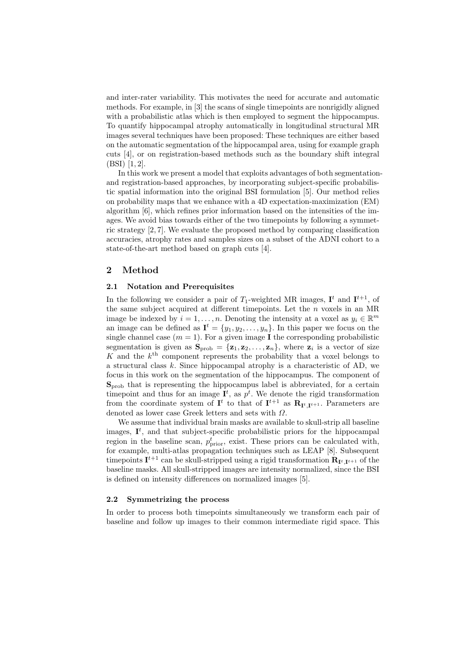and inter-rater variability. This motivates the need for accurate and automatic methods. For example, in [3] the scans of single timepoints are nonrigidly aligned with a probabilistic atlas which is then employed to segment the hippocampus. To quantify hippocampal atrophy automatically in longitudinal structural MR images several techniques have been proposed: These techniques are either based on the automatic segmentation of the hippocampal area, using for example graph cuts [4], or on registration-based methods such as the boundary shift integral (BSI) [1, 2].

In this work we present a model that exploits advantages of both segmentationand registration-based approaches, by incorporating subject-specific probabilistic spatial information into the original BSI formulation [5]. Our method relies on probability maps that we enhance with a 4D expectation-maximization (EM) algorithm [6], which refines prior information based on the intensities of the images. We avoid bias towards either of the two timepoints by following a symmetric strategy [2, 7]. We evaluate the proposed method by comparing classification accuracies, atrophy rates and samples sizes on a subset of the ADNI cohort to a state-of-the-art method based on graph cuts [4].

## 2 Method

#### 2.1 Notation and Prerequisites

In the following we consider a pair of  $T_1$ -weighted MR images,  $\mathbf{I}^t$  and  $\mathbf{I}^{t+1}$ , of the same subject acquired at different timepoints. Let the  $n$  voxels in an MR image be indexed by  $i = 1, ..., n$ . Denoting the intensity at a voxel as  $y_i \in \mathbb{R}^m$ an image can be defined as  $\mathbf{I}^t = \{y_1, y_2, \dots, y_n\}$ . In this paper we focus on the single channel case  $(m = 1)$ . For a given image **I** the corresponding probabilistic segmentation is given as  $\mathbf{S}_{\text{prob}} = {\mathbf{z}_1, \mathbf{z}_2, \dots, \mathbf{z}_n}$ , where  $\mathbf{z}_i$  is a vector of size K and the  $k^{\text{th}}$  component represents the probability that a voxel belongs to a structural class  $k$ . Since hippocampal atrophy is a characteristic of AD, we focus in this work on the segmentation of the hippocampus. The component of  $S_{\text{prob}}$  that is representing the hippocampus label is abbreviated, for a certain time point and thus for an image  $I^t$ , as  $p^t$ . We denote the rigid transformation from the coordinate system of  $I^t$  to that of  $I^{t+1}$  as  $R_{I^t,I^{t+1}}$ . Parameters are denoted as lower case Greek letters and sets with Ω.

We assume that individual brain masks are available to skull-strip all baseline images,  $I<sup>t</sup>$ , and that subject-specific probabilistic priors for the hippocampal region in the baseline scan,  $p_{\text{prior}}^t$ , exist. These priors can be calculated with, for example, multi-atlas propagation techniques such as LEAP [8]. Subsequent time points  $I^{t+1}$  can be skull-stripped using a rigid transformation  $R_{I^t,I^{t+1}}$  of the baseline masks. All skull-stripped images are intensity normalized, since the BSI is defined on intensity differences on normalized images [5].

## 2.2 Symmetrizing the process

In order to process both timepoints simultaneously we transform each pair of baseline and follow up images to their common intermediate rigid space. This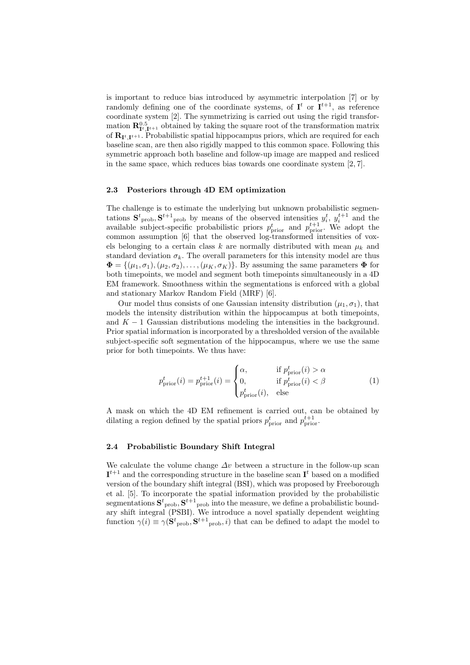is important to reduce bias introduced by asymmetric interpolation [7] or by randomly defining one of the coordinate systems, of  $I<sup>t</sup>$  or  $I<sup>t+1</sup>$ , as reference coordinate system [2]. The symmetrizing is carried out using the rigid transformation  $\mathbf{R}_{\mathbf{I}^t, \mathbf{I}^{t+1}}^{0.5}$  obtained by taking the square root of the transformation matrix of  $\mathbf{R}_{\mathbf{I}^t, \mathbf{I}^{t+1}}$ . Probabilistic spatial hippocampus priors, which are required for each baseline scan, are then also rigidly mapped to this common space. Following this symmetric approach both baseline and follow-up image are mapped and resliced in the same space, which reduces bias towards one coordinate system [2, 7].

### 2.3 Posteriors through 4D EM optimization

The challenge is to estimate the underlying but unknown probabilistic segmentations  $\mathbf{S}^t$ <sub>prob</sub>,  $\mathbf{S}^{t+1}$ <sub>prob</sub> by means of the observed intensities  $y_i^t$ ,  $y_i^{t+1}$  and the available subject-specific probabilistic priors  $p_{\text{prior}}^t$  and  $p_{\text{prior}}^{t+1}$ . We adopt the common assumption [6] that the observed log-transformed intensities of voxels belonging to a certain class k are normally distributed with mean  $\mu_k$  and standard deviation  $\sigma_k$ . The overall parameters for this intensity model are thus  $\mathbf{\Phi} = \{(\mu_1, \sigma_1), (\mu_2, \sigma_2), \ldots, (\mu_K, \sigma_K)\}\.$  By assuming the same parameters  $\mathbf{\Phi}$  for both timepoints, we model and segment both timepoints simultaneously in a 4D EM framework. Smoothness within the segmentations is enforced with a global and stationary Markov Random Field (MRF) [6].

Our model thus consists of one Gaussian intensity distribution  $(\mu_1, \sigma_1)$ , that models the intensity distribution within the hippocampus at both timepoints, and  $K - 1$  Gaussian distributions modeling the intensities in the background. Prior spatial information is incorporated by a thresholded version of the available subject-specific soft segmentation of the hippocampus, where we use the same prior for both timepoints. We thus have:

$$
p_{\text{prior}}^t(i) = p_{\text{prior}}^{t+1}(i) = \begin{cases} \alpha, & \text{if } p_{\text{prior}}^t(i) > \alpha \\ 0, & \text{if } p_{\text{prior}}^t(i) < \beta \\ p_{\text{prior}}^t(i), & \text{else} \end{cases} \tag{1}
$$

A mask on which the 4D EM refinement is carried out, can be obtained by dilating a region defined by the spatial priors  $p_{\text{prior}}^t$  and  $p_{\text{prior}}^{t+1}$ .

## 2.4 Probabilistic Boundary Shift Integral

We calculate the volume change  $\Delta v$  between a structure in the follow-up scan  $\mathbf{I}^{t+1}$  and the corresponding structure in the baseline scan  $\mathbf{I}^t$  based on a modified version of the boundary shift integral (BSI), which was proposed by Freeborough et al. [5]. To incorporate the spatial information provided by the probabilistic segmentations  $S^{t}$ <sub>prob</sub>,  $S^{t+1}$ <sub>prob</sub> into the measure, we define a probabilistic boundary shift integral (PSBI). We introduce a novel spatially dependent weighting function  $\gamma(i) \equiv \gamma(\mathbf{S}^t_{\text{prob}}, \mathbf{S}^{t+1}_{\text{prob}}, i)$  that can be defined to adapt the model to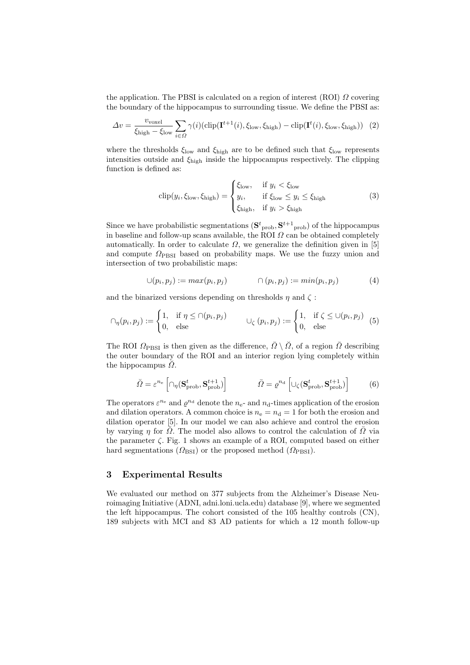the application. The PBSI is calculated on a region of interest (ROI)  $\Omega$  covering the boundary of the hippocampus to surrounding tissue. We define the PBSI as:

$$
\Delta v = \frac{v_{\text{voxel}}}{\xi_{\text{high}} - \xi_{\text{low}}} \sum_{i \in \Omega} \gamma(i) (\text{clip}(\mathbf{I}^{t+1}(i), \xi_{\text{low}}, \xi_{\text{high}}) - \text{clip}(\mathbf{I}^t(i), \xi_{\text{low}}, \xi_{\text{high}}))
$$
(2)

where the thresholds  $\xi_{\text{low}}$  and  $\xi_{\text{high}}$  are to be defined such that  $\xi_{\text{low}}$  represents intensities outside and  $\xi_{\text{high}}$  inside the hippocampus respectively. The clipping function is defined as:

$$
\text{clip}(y_i, \xi_{\text{low}}, \xi_{\text{high}}) = \begin{cases} \xi_{\text{low}}, & \text{if } y_i < \xi_{\text{low}} \\ y_i, & \text{if } \xi_{\text{low}} \le y_i \le \xi_{\text{high}} \\ \xi_{\text{high}}, & \text{if } y_i > \xi_{\text{high}} \end{cases} \tag{3}
$$

Since we have probabilistic segmentations  $(\mathbf{S}^t_{\text{prob}}, \mathbf{S}^{t+1}_{\text{prob}})$  of the hippocampus in baseline and follow-up scans available, the ROI  $\Omega$  can be obtained completely automatically. In order to calculate  $\Omega$ , we generalize the definition given in [5] and compute  $\Omega_{\mathrm{PBSI}}$  based on probability maps. We use the fuzzy union and intersection of two probabilistic maps:

$$
\bigcup (p_i, p_j) := max(p_i, p_j) \qquad \qquad \bigcap (p_i, p_j) := min(p_i, p_j) \qquad \qquad (4)
$$

and the binarized versions depending on thresholds  $\eta$  and  $\zeta$ :

$$
\cap_{\eta}(p_i, p_j) := \begin{cases} 1, & \text{if } \eta \leq \cap(p_i, p_j) \\ 0, & \text{else} \end{cases} \qquad \qquad \cup_{\zeta} (p_i, p_j) := \begin{cases} 1, & \text{if } \zeta \leq \cup(p_i, p_j) \\ 0, & \text{else} \end{cases} \qquad (5)
$$

The ROI  $\Omega_{\rm PBSI}$  is then given as the difference,  $\bar{\Omega} \setminus \check{\Omega}$ , of a region  $\bar{\Omega}$  describing the outer boundary of the ROI and an interior region lying completely within the hippocampus  $\Omega$ .

$$
\check{\Omega} = \varepsilon^{n_e} \left[ \cap_{\eta} (\mathbf{S}_{\text{prob}}^t, \mathbf{S}_{\text{prob}}^{t+1}) \right] \qquad \qquad \bar{\Omega} = \varrho^{n_d} \left[ \cup_{\zeta} (\mathbf{S}_{\text{prob}}^t, \mathbf{S}_{\text{prob}}^{t+1}) \right] \qquad (6)
$$

The operators  $\varepsilon^{n_e}$  and  $\varrho^{n_d}$  denote the  $n_e$ - and  $n_d$ -times application of the erosion and dilation operators. A common choice is  $n_e = n_d = 1$  for both the erosion and dilation operator [5]. In our model we can also achieve and control the erosion by varying  $\eta$  for  $\Omega$ . The model also allows to control the calculation of  $\Omega$  via the parameter  $\zeta$ . Fig. 1 shows an example of a ROI, computed based on either hard segmentations ( $\Omega_{\text{BSI}}$ ) or the proposed method ( $\Omega_{\text{PBSI}}$ ).

## 3 Experimental Results

We evaluated our method on 377 subjects from the Alzheimer's Disease Neuroimaging Initiative (ADNI, adni.loni.ucla.edu) database [9], where we segmented the left hippocampus. The cohort consisted of the 105 healthy controls (CN), 189 subjects with MCI and 83 AD patients for which a 12 month follow-up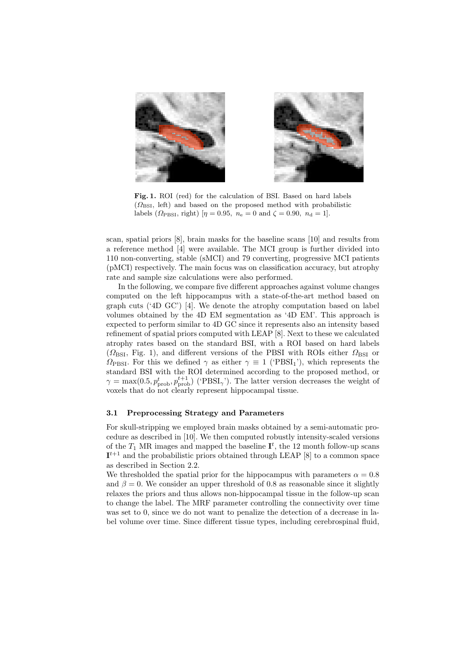

Fig. 1. ROI (red) for the calculation of BSI. Based on hard labels  $(\Omega_{\text{BSI}})$ , left) and based on the proposed method with probabilistic labels ( $\Omega_{\text{PBSI}}$ , right)  $[\eta = 0.95, n_e = 0 \text{ and } \zeta = 0.90, n_d = 1].$ 

scan, spatial priors [8], brain masks for the baseline scans [10] and results from a reference method [4] were available. The MCI group is further divided into 110 non-converting, stable (sMCI) and 79 converting, progressive MCI patients (pMCI) respectively. The main focus was on classification accuracy, but atrophy rate and sample size calculations were also performed.

In the following, we compare five different approaches against volume changes computed on the left hippocampus with a state-of-the-art method based on graph cuts ('4D GC') [4]. We denote the atrophy computation based on label volumes obtained by the 4D EM segmentation as '4D EM'. This approach is expected to perform similar to 4D GC since it represents also an intensity based refinement of spatial priors computed with LEAP [8]. Next to these we calculated atrophy rates based on the standard BSI, with a ROI based on hard labels  $(\Omega_{\text{BSI}}, \text{Fig. 1})$ , and different versions of the PBSI with ROIs either  $\Omega_{\text{BSI}}$  or  $\Omega_{\rm PBSI}$ . For this we defined  $\gamma$  as either  $\gamma \equiv 1$  ('PBSI<sub>1</sub>'), which represents the standard BSI with the ROI determined according to the proposed method, or  $\gamma = \max(0.5, p_{\text{prob}}^t, p_{\text{prob}}^{t+1})$  ('PBSI<sub> $\gamma$ </sub>'). The latter version decreases the weight of voxels that do not clearly represent hippocampal tissue.

## 3.1 Preprocessing Strategy and Parameters

For skull-stripping we employed brain masks obtained by a semi-automatic procedure as described in [10]. We then computed robustly intensity-scaled versions of the  $T_1$  MR images and mapped the baseline  $\mathbf{I}^t$ , the 12 month follow-up scans  $\mathbf{I}^{t+1}$  and the probabilistic priors obtained through LEAP [8] to a common space as described in Section 2.2.

We thresholded the spatial prior for the hippocampus with parameters  $\alpha = 0.8$ and  $\beta = 0$ . We consider an upper threshold of 0.8 as reasonable since it slightly relaxes the priors and thus allows non-hippocampal tissue in the follow-up scan to change the label. The MRF parameter controlling the connectivity over time was set to 0, since we do not want to penalize the detection of a decrease in label volume over time. Since different tissue types, including cerebrospinal fluid,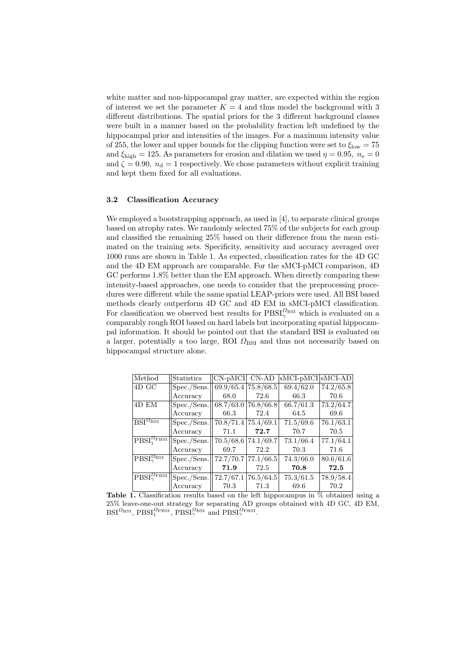white matter and non-hippocampal gray matter, are expected within the region of interest we set the parameter  $K = 4$  and thus model the background with 3 different distributions. The spatial priors for the 3 different background classes were built in a manner based on the probability fraction left undefined by the hippocampal prior and intensities of the images. For a maximum intensity value of 255, the lower and upper bounds for the clipping function were set to  $\xi_{\text{low}} = 75$ and  $\xi_{\text{high}} = 125$ . As parameters for erosion and dilation we used  $\eta = 0.95$ ,  $n_e = 0$ and  $\zeta = 0.90$ ,  $n_d = 1$  respectively. We chose parameters without explicit training and kept them fixed for all evaluations.

## 3.2 Classification Accuracy

We employed a bootstrapping approach, as used in [4], to separate clinical groups based on atrophy rates. We randomly selected 75% of the subjects for each group and classified the remaining 25% based on their difference from the mean estimated on the training sets. Specificity, sensitivity and accuracy averaged over 1000 runs are shown in Table 1. As expected, classification rates for the 4D GC and the 4D EM approach are comparable. For the sMCI-pMCI comparison, 4D GC performs 1.8% better than the EM approach. When directly comparing these intensity-based approaches, one needs to consider that the preprocessing procedures were different while the same spatial LEAP-priors were used. All BSI based methods clearly outperform 4D GC and 4D EM in sMCI-pMCI classification. For classification we observed best results for  $\text{PBSI}_{\gamma}^{\Omega_{\text{BSI}}}$  which is evaluated on a comparably rough ROI based on hard labels but incorporating spatial hippocampal information. It should be pointed out that the standard BSI is evaluated on a larger, potentially a too large, ROI  $\Omega_{\text{BSI}}$  and thus not necessarily based on hippocampal structure alone.

| Method                                                            | Statistics  | $CN-pMCI$           | $CN-AD$   | $sMCI-pMCI$ $sMCI-AD$ |           |
|-------------------------------------------------------------------|-------------|---------------------|-----------|-----------------------|-----------|
| 4D GC                                                             | Spec./Sens. | 69.9/65.4 75.8/68.5 |           | 69.4/62.0             | 74.2/65.8 |
|                                                                   | Accuracy    | 68.0                | 72.6      | 66.3                  | 70.6      |
| 4D EM                                                             | Spec./Sens. | 68.7/63.0           | 76.8/66.8 | 66.7/61.3             | 73.2/64.7 |
|                                                                   | Accuracy    | 66.3                | 72.4      | 64.5                  | 69.6      |
| $\overline{\text{BSI}^{\Omega_{\text{BSI}}}}$                     | Spec./Sens. | 70.8/71.4           | 75.4/69.1 | 71.5/69.6             | 76.1/63.1 |
|                                                                   | Accuracy    | 71.1                | 72.7      | 70.7                  | 70.5      |
| $\left \text{PBSI}^{\Omega_{\text{PBSI}}}_1\right $               | Spec./Sens. | 70.5/68.6           | 74.1/69.7 | 73.1/66.4             | 77.1/64.1 |
|                                                                   | Accuracy    | 69.7                | 72.2      | 70.3                  | 71.6      |
| $\big  \text{PB}\overline{\text{SI}_\gamma^{\Omega_{\rm{BSI}}}}$  | Spec./Sens. | 72.7/70.7 77.1/66.5 |           | 74.3/66.0             | 80.6/61.6 |
|                                                                   | Accuracy    | 71.9                | 72.5      | $\bf 70.8$            | 72.5      |
| $\left \mathrm{PBSI}^{\varOmega_{\mathrm{PBSI}}}_{\gamma}\right $ | Spec./Sens. | 72.7/67.1           | 76.5/64.5 | 75.3/61.5             | 78.9/58.4 |
|                                                                   | Accuracy    | 70.3                | 71.3      | 69.6                  | 70.2      |

Table 1. Classification results based on the left hippocampus in  $\%$  obtained using a 25% leave-one-out strategy for separating AD groups obtained with 4D GC, 4D EM,  $\text{BSI}^{\Omega_{\text{BSI}}}, \text{PBSI}_{1}^{\Omega_{\text{PBSI}}}, \text{PBSI}_{\gamma}^{\Omega_{\text{BSI}}}$  and  $\text{PBSI}_{\gamma}^{\Omega_{\text{PBSI}}}.$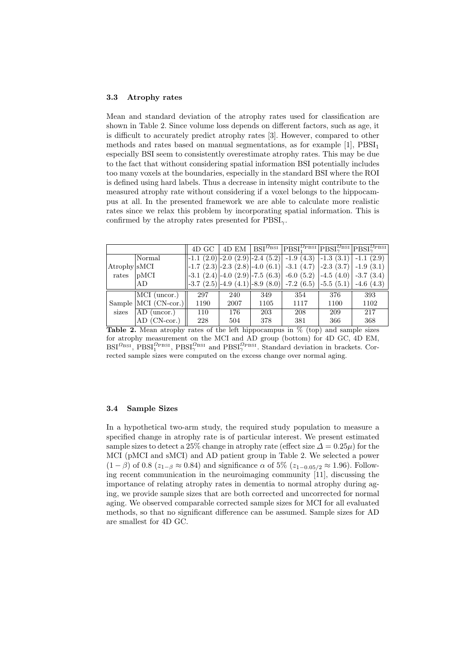#### 3.3 Atrophy rates

Mean and standard deviation of the atrophy rates used for classification are shown in Table 2. Since volume loss depends on different factors, such as age, it is difficult to accurately predict atrophy rates [3]. However, compared to other methods and rates based on manual segmentations, as for example  $[1]$ ,  $\text{PBSI}_1$ especially BSI seem to consistently overestimate atrophy rates. This may be due to the fact that without considering spatial information BSI potentially includes too many voxels at the boundaries, especially in the standard BSI where the ROI is defined using hard labels. Thus a decrease in intensity might contribute to the measured atrophy rate without considering if a voxel belongs to the hippocampus at all. In the presented framework we are able to calculate more realistic rates since we relax this problem by incorporating spatial information. This is confirmed by the atrophy rates presented for  $\text{PBSI}_{\gamma}$ .

|              |                      | 4D GC |      |      |                                                                                                                                                               |      | 4D EM   BSI <sup><math>\Omega</math></sup> BSI   PBSI $_{\gamma}^{\Omega_{\rm B}}$ PBSI $_{\gamma}^{\Omega_{\rm B}}$ PBSI $_{\gamma}^{\Omega_{\rm B}}$ PBSI $_{\gamma}^{\Omega_{\rm B}}$ PBSI |
|--------------|----------------------|-------|------|------|---------------------------------------------------------------------------------------------------------------------------------------------------------------|------|-----------------------------------------------------------------------------------------------------------------------------------------------------------------------------------------------|
|              | Normal               |       |      |      |                                                                                                                                                               |      | $\vert -1.1 \vert (2.0) \vert -2.0 \vert (2.9) \vert -2.4 \vert (5.2) \vert -1.9 \vert (4.3) \vert -1.3 \vert (3.1) \vert -1.1 \vert (2.9) \vert$                                             |
| Atrophy SMCI |                      |       |      |      |                                                                                                                                                               |      | $\vert -1.7 \vert (2.3) \vert -2.3 \vert (2.8) \vert -4.0 \vert (6.1) \vert -3.1 \vert (4.7) \vert -2.3 \vert (3.7) \vert -1.9 \vert (3.1) \vert$                                             |
| rates        | $ {\rm pMCI} $       |       |      |      | $\left  -3.1 \right  (2.4) \left  -4.0 \right  (2.9) \left  -7.5 \right  (6.3) \left  -6.0 \right  (5.2) \left  -4.5 \right  (4.0) \left  -3.7 \right  (3.4)$ |      |                                                                                                                                                                                               |
|              | AD                   |       |      |      | $\left  -3.7 \right  (2.5) \left  -4.9 \right  (4.1) \left  -8.9 \right  (8.0) \left  -7.2 \right  (6.5) \left  -5.5 \right  (5.1) \left  -5.5 \right $       |      | $-4.6(4.3)$                                                                                                                                                                                   |
|              | $MCI$ (uncor.)       | 297   | 240  | 349  | 354                                                                                                                                                           | 376  | 393                                                                                                                                                                                           |
|              | Sample MCI (CN-cor.) | 1190  | 2007 | 1105 | 1117                                                                                                                                                          | 1100 | 1102                                                                                                                                                                                          |
| sizes        | AD (uncor.)          | 110   | 176  | 203  | 208                                                                                                                                                           | 209  | 217                                                                                                                                                                                           |
|              | $AD$ (CN-cor.)       | 228   | 504  | 378  | 381                                                                                                                                                           | 366  | 368                                                                                                                                                                                           |

**Table 2.** Mean atrophy rates of the left hippocampus in  $\%$  (top) and sample sizes for atrophy measurement on the MCI and AD group (bottom) for 4D GC, 4D EM,  $BSI^{\Omega_{\rm BSI}}$ ,  $PBSI_1^{\Omega_{\rm BISI}}$ ,  $PBSI_{\gamma}^{\Omega_{\rm BSI}}$  and  $PBSI_{\gamma}^{\Omega_{\rm BISI}}$ . Standard deviation in brackets. Corrected sample sizes were computed on the excess change over normal aging.

### 3.4 Sample Sizes

In a hypothetical two-arm study, the required study population to measure a specified change in atrophy rate is of particular interest. We present estimated sample sizes to detect a 25% change in atrophy rate (effect size  $\Delta = 0.25\mu$ ) for the MCI (pMCI and sMCI) and AD patient group in Table 2. We selected a power  $(1 - \beta)$  of 0.8 ( $z_{1-\beta} \approx 0.84$ ) and significance  $\alpha$  of 5% ( $z_{1-\alpha,05/2} \approx 1.96$ ). Following recent communication in the neuroimaging community [11], discussing the importance of relating atrophy rates in dementia to normal atrophy during aging, we provide sample sizes that are both corrected and uncorrected for normal aging. We observed comparable corrected sample sizes for MCI for all evaluated methods, so that no significant difference can be assumed. Sample sizes for AD are smallest for 4D GC.